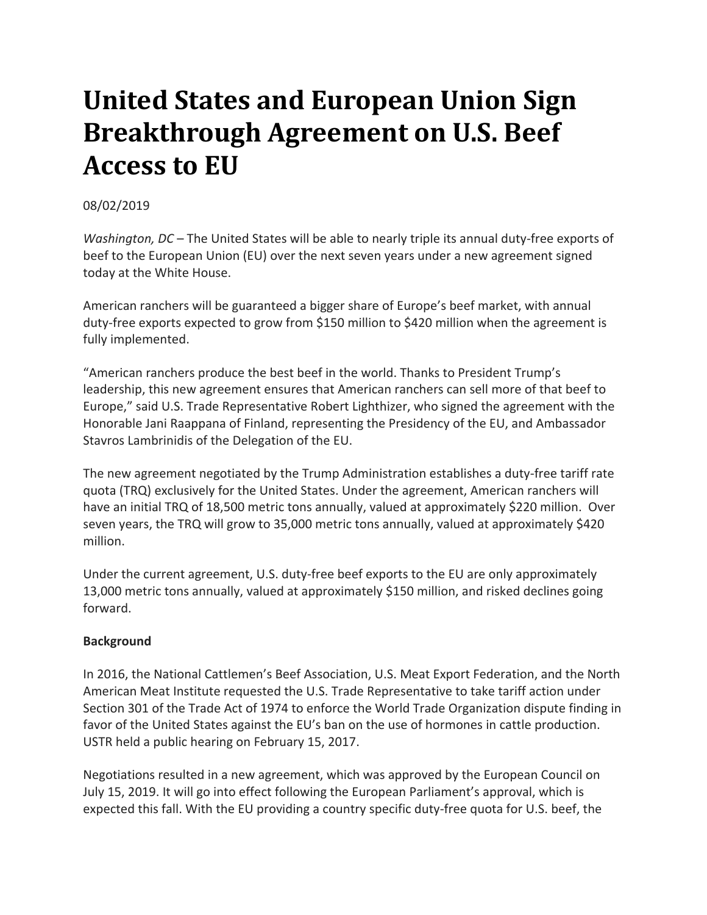## **United States and European Union Sign Breakthrough Agreement on U.S. Beef Access to EU**

08/02/2019

*Washington, DC* – The United States will be able to nearly triple its annual duty-free exports of beef to the European Union (EU) over the next seven years under a new agreement signed today at the White House.

American ranchers will be guaranteed a bigger share of Europe's beef market, with annual duty-free exports expected to grow from \$150 million to \$420 million when the agreement is fully implemented.

"American ranchers produce the best beef in the world. Thanks to President Trump's leadership, this new agreement ensures that American ranchers can sell more of that beef to Europe," said U.S. Trade Representative Robert Lighthizer, who signed the agreement with the Honorable Jani Raappana of Finland, representing the Presidency of the EU, and Ambassador Stavros Lambrinidis of the Delegation of the EU.

The new agreement negotiated by the Trump Administration establishes a duty-free tariff rate quota (TRQ) exclusively for the United States. Under the agreement, American ranchers will have an initial TRQ of 18,500 metric tons annually, valued at approximately \$220 million. Over seven years, the TRQ will grow to 35,000 metric tons annually, valued at approximately \$420 million.

Under the current agreement, U.S. duty-free beef exports to the EU are only approximately 13,000 metric tons annually, valued at approximately \$150 million, and risked declines going forward.

## **Background**

In 2016, the National Cattlemen's Beef Association, U.S. Meat Export Federation, and the North American Meat Institute requested the U.S. Trade Representative to take tariff action under Section 301 of the Trade Act of 1974 to enforce the World Trade Organization dispute finding in favor of the United States against the EU's ban on the use of hormones in cattle production. USTR held a public hearing on February 15, 2017.

Negotiations resulted in a new agreement, which was approved by the European Council on July 15, 2019. It will go into effect following the European Parliament's approval, which is expected this fall. With the EU providing a country specific duty-free quota for U.S. beef, the